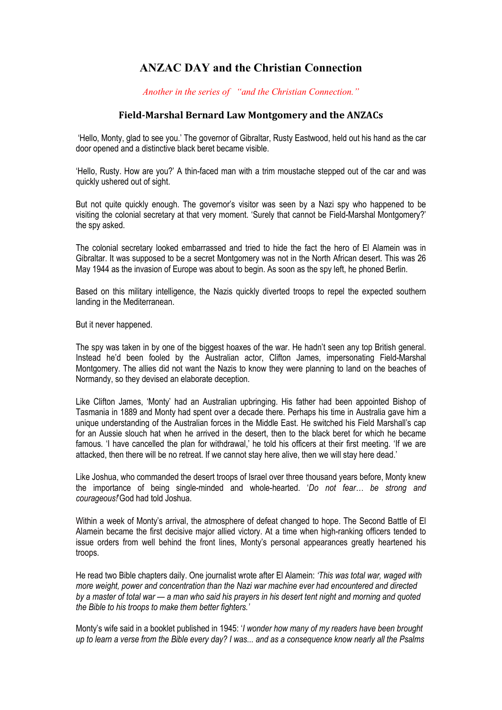## **ANZAC DAY and the Christian Connection**

*Another in the series of "and the Christian Connection."*

## **Field-Marshal Bernard Law Montgomery and the ANZACs**

'Hello, Monty, glad to see you.' The governor of Gibraltar, Rusty Eastwood, held out his hand as the car door opened and a distinctive black beret became visible.

'Hello, Rusty. How are you?' A thin-faced man with a trim moustache stepped out of the car and was quickly ushered out of sight.

But not quite quickly enough. The governor's visitor was seen by a Nazi spy who happened to be visiting the colonial secretary at that very moment. 'Surely that cannot be Field-Marshal Montgomery?' the spy asked.

The colonial secretary looked embarrassed and tried to hide the fact the hero of El Alamein was in Gibraltar. It was supposed to be a secret Montgomery was not in the North African desert. This was 26 May 1944 as the invasion of Europe was about to begin. As soon as the spy left, he phoned Berlin.

Based on this military intelligence, the Nazis quickly diverted troops to repel the expected southern landing in the Mediterranean.

But it never happened.

The spy was taken in by one of the biggest hoaxes of the war. He hadn't seen any top British general. Instead he'd been fooled by the Australian actor, Clifton James, impersonating Field-Marshal Montgomery. The allies did not want the Nazis to know they were planning to land on the beaches of Normandy, so they devised an elaborate deception.

Like Clifton James, 'Monty' had an Australian upbringing. His father had been appointed Bishop of Tasmania in 1889 and Monty had spent over a decade there. Perhaps his time in Australia gave him a unique understanding of the Australian forces in the Middle East. He switched his Field Marshall's cap for an Aussie slouch hat when he arrived in the desert, then to the black beret for which he became famous. 'I have cancelled the plan for withdrawal,' he told his officers at their first meeting. 'If we are attacked, then there will be no retreat. If we cannot stay here alive, then we will stay here dead.'

Like Joshua, who commanded the desert troops of Israel over three thousand years before, Monty knew the importance of being single-minded and whole-hearted. '*Do not fear… be strong and courageous!*'God had told Joshua.

Within a week of Monty's arrival, the atmosphere of defeat changed to hope. The Second Battle of El Alamein became the first decisive major allied victory. At a time when high-ranking officers tended to issue orders from well behind the front lines, Monty's personal appearances greatly heartened his troops.

He read two Bible chapters daily. One journalist wrote after El Alamein: *'This was total war, waged with more weight, power and concentration than the Nazi war machine ever had encountered and directed by a master of total war — a man who said his prayers in his desert tent night and morning and quoted the Bible to his troops to make them better fighters.'*

Monty's wife said in a booklet published in 1945: '*I wonder how many of my readers have been brought up to learn a verse from the Bible every day? I was... and as a consequence know nearly all the Psalms*